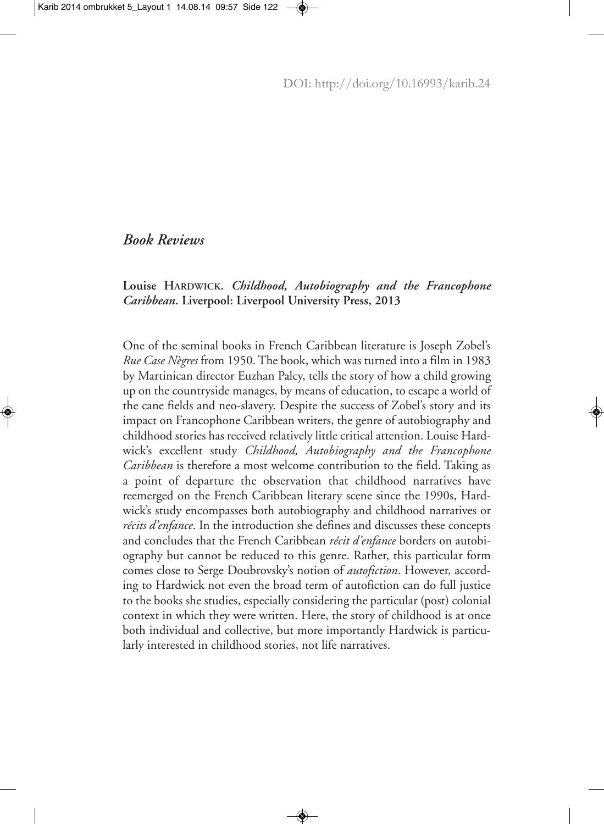## *Book Reviews*

## **Louise HARDWICK.** *Childhood, Autobiography and the Francophone Caribbean***. Liverpool: Liverpool University Press, 2013**

One of the seminal books in French Caribbean literature is Joseph Zobel's *Rue Case Nègres* from 1950. The book, which was turned into a film in 1983 by Martinican director Euzhan Palcy, tells the story of how a child growing up on the countryside manages, by means of education, to escape a world of the cane fields and neo-slavery. Despite the success of Zobel's story and its impact on Francophone Caribbean writers, the genre of autobiography and childhood stories has received relatively little critical attention. Louise Hardwick's excellent study *Childhood, Autobiography and the Francophone Caribbean* is therefore a most welcome contribution to the field. Taking as a point of departure the observation that childhood narratives have reemerged on the French Caribbean literary scene since the 1990s, Hardwick's study encompasses both autobiography and childhood narratives or *récits d'enfance*. In the introduction she defines and discusses these concepts and concludes that the French Caribbean *récit d'enfance* borders on autobiography but cannot be reduced to this genre. Rather, this particular form comes close to Serge Doubrovsky's notion of *autofiction*. However, according to Hardwick not even the broad term of autofiction can do full justice to the books she studies, especially considering the particular (post) colonial context in which they were written. Here, the story of childhood is at once both individual and collective, but more importantly Hardwick is particularly interested in childhood stories, not life narratives.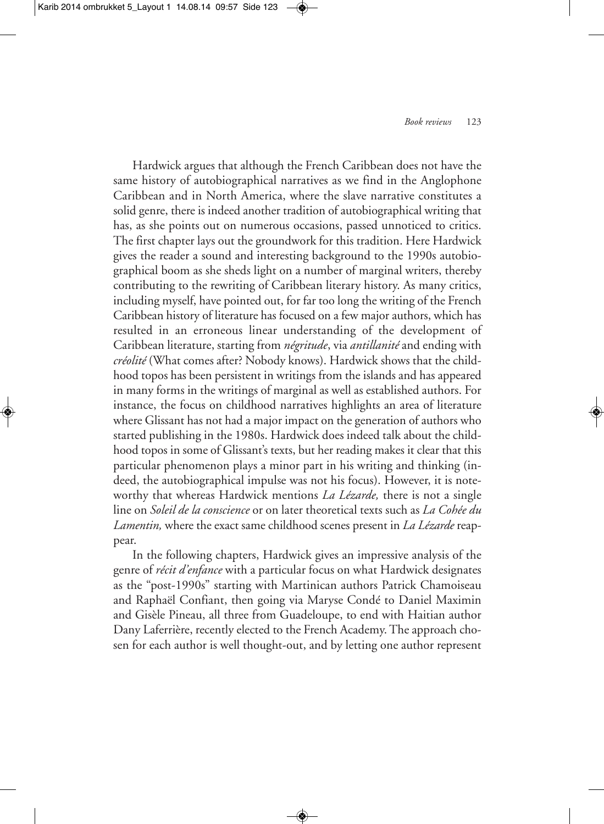Hardwick argues that although the French Caribbean does not have the same history of autobiographical narratives as we find in the Anglophone Caribbean and in North America, where the slave narrative constitutes a solid genre, there is indeed another tradition of autobiographical writing that has, as she points out on numerous occasions, passed unnoticed to critics. The first chapter lays out the groundwork for this tradition. Here Hardwick gives the reader a sound and interesting background to the 1990s autobiographical boom as she sheds light on a number of marginal writers, thereby contributing to the rewriting of Caribbean literary history. As many critics, including myself, have pointed out, for far too long the writing of the French Caribbean history of literature has focused on a few major authors, which has resulted in an erroneous linear understanding of the development of Caribbean literature, starting from *négritude*, via *antillanité* and ending with *créolité* (What comes after? Nobody knows). Hardwick shows that the childhood topos has been persistent in writings from the islands and has appeared in many forms in the writings of marginal as well as established authors. For instance, the focus on childhood narratives highlights an area of literature where Glissant has not had a major impact on the generation of authors who started publishing in the 1980s. Hardwick does indeed talk about the childhood topos in some of Glissant's texts, but her reading makes it clear that this particular phenomenon plays a minor part in his writing and thinking (indeed, the autobiographical impulse was not his focus). However, it is noteworthy that whereas Hardwick mentions *La Lézarde,* there is not a single line on *Soleil de la conscience* or on later theoretical texts such as *La Cohée du Lamentin,* where the exact same childhood scenes present in *La Lézarde* reappear.

In the following chapters, Hardwick gives an impressive analysis of the genre of *récit d'enfance* with a particular focus on what Hardwick designates as the "post-1990s" starting with Martinican authors Patrick Chamoiseau and Raphaël Confiant, then going via Maryse Condé to Daniel Maximin and Gisèle Pineau, all three from Guadeloupe, to end with Haitian author Dany Laferrière, recently elected to the French Academy.The approach chosen for each author is well thought-out, and by letting one author represent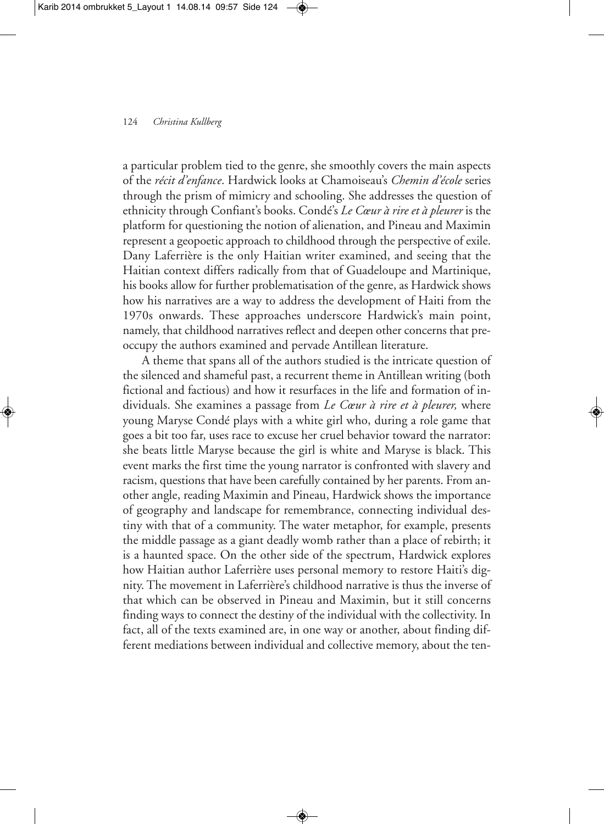a particular problem tied to the genre, she smoothly covers the main aspects of the *récit d'enfance*. Hardwick looks at Chamoiseau's *Chemin d'école* series through the prism of mimicry and schooling. She addresses the question of ethnicity through Confiant's books. Condé's *Le Cœur à rire et à pleurer* is the platform for questioning the notion of alienation, and Pineau and Maximin represent a geopoetic approach to childhood through the perspective of exile. Dany Laferrière is the only Haitian writer examined, and seeing that the Haitian context differs radically from that of Guadeloupe and Martinique, his books allow for further problematisation of the genre, as Hardwick shows how his narratives are a way to address the development of Haiti from the 1970s onwards. These approaches underscore Hardwick's main point, namely, that childhood narratives reflect and deepen other concerns that preoccupy the authors examined and pervade Antillean literature.

A theme that spans all of the authors studied is the intricate question of the silenced and shameful past, a recurrent theme in Antillean writing (both fictional and factious) and how it resurfaces in the life and formation of individuals. She examines a passage from *Le Cœur à rire et à pleurer,* where young Maryse Condé plays with a white girl who, during a role game that goes a bit too far, uses race to excuse her cruel behavior toward the narrator: she beats little Maryse because the girl is white and Maryse is black. This event marks the first time the young narrator is confronted with slavery and racism, questions that have been carefully contained by her parents. From another angle, reading Maximin and Pineau, Hardwick shows the importance of geography and landscape for remembrance, connecting individual destiny with that of a community. The water metaphor, for example, presents the middle passage as a giant deadly womb rather than a place of rebirth; it is a haunted space. On the other side of the spectrum, Hardwick explores how Haitian author Laferrière uses personal memory to restore Haiti's dignity. The movement in Laferrière's childhood narrative is thus the inverse of that which can be observed in Pineau and Maximin, but it still concerns finding ways to connect the destiny of the individual with the collectivity. In fact, all of the texts examined are, in one way or another, about finding different mediations between individual and collective memory, about the ten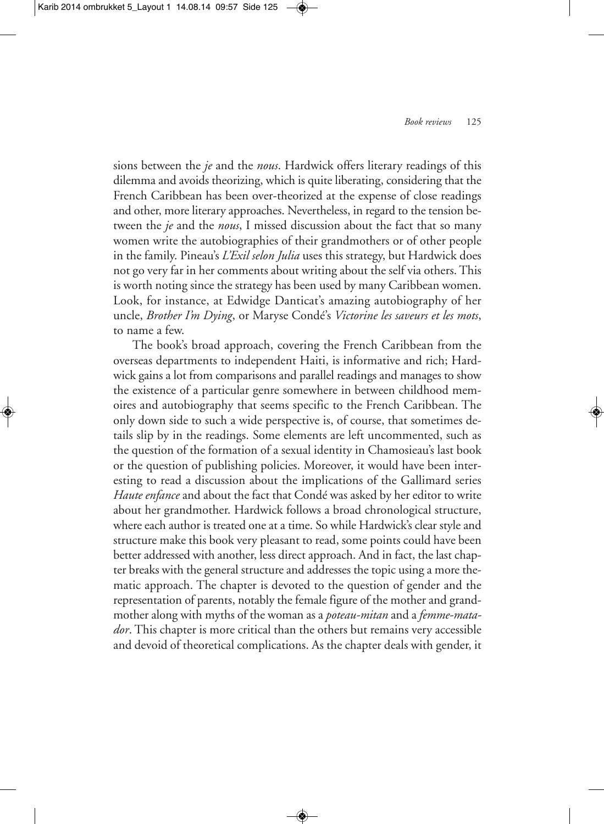sions between the *je* and the *nous*. Hardwick offers literary readings of this dilemma and avoids theorizing, which is quite liberating, considering that the French Caribbean has been over-theorized at the expense of close readings and other, more literary approaches. Nevertheless, in regard to the tension between the *je* and the *nous*, I missed discussion about the fact that so many women write the autobiographies of their grandmothers or of other people in the family. Pineau's *L'Exil selon Julia* uses this strategy, but Hardwick does not go very far in her comments about writing about the self via others. This is worth noting since the strategy has been used by many Caribbean women. Look, for instance, at Edwidge Danticat's amazing autobiography of her uncle, *Brother I'm Dying*, or Maryse Condé's *Victorine les saveurs et les mots*, to name a few.

The book's broad approach, covering the French Caribbean from the overseas departments to independent Haiti, is informative and rich; Hardwick gains a lot from comparisons and parallel readings and manages to show the existence of a particular genre somewhere in between childhood memoires and autobiography that seems specific to the French Caribbean. The only down side to such a wide perspective is, of course, that sometimes details slip by in the readings. Some elements are left uncommented, such as the question of the formation of a sexual identity in Chamosieau's last book or the question of publishing policies. Moreover, it would have been interesting to read a discussion about the implications of the Gallimard series *Haute enfance* and about the fact that Condé was asked by her editor to write about her grandmother. Hardwick follows a broad chronological structure, where each author is treated one at a time. So while Hardwick's clear style and structure make this book very pleasant to read, some points could have been better addressed with another, less direct approach. And in fact, the last chapter breaks with the general structure and addresses the topic using a more thematic approach. The chapter is devoted to the question of gender and the representation of parents, notably the female figure of the mother and grandmother along with myths of the woman as a *poteau-mitan* and a *femme-matador*. This chapter is more critical than the others but remains very accessible and devoid of theoretical complications. As the chapter deals with gender, it